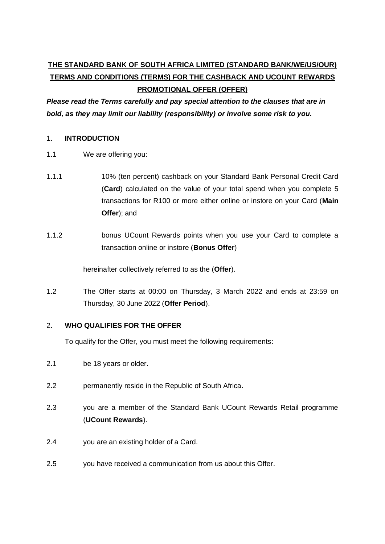# **THE STANDARD BANK OF SOUTH AFRICA LIMITED (STANDARD BANK/WE/US/OUR) TERMS AND CONDITIONS (TERMS) FOR THE CASHBACK AND UCOUNT REWARDS PROMOTIONAL OFFER (OFFER)**

*Please read the Terms carefully and pay special attention to the clauses that are in bold, as they may limit our liability (responsibility) or involve some risk to you.*

## 1. **INTRODUCTION**

- 1.1 We are offering you:
- 1.1.1 10% (ten percent) cashback on your Standard Bank Personal Credit Card (**Card**) calculated on the value of your total spend when you complete 5 transactions for R100 or more either online or instore on your Card (**Main Offer**); and
- 1.1.2 bonus UCount Rewards points when you use your Card to complete a transaction online or instore (**Bonus Offer**)

hereinafter collectively referred to as the (**Offer**).

1.2 The Offer starts at 00:00 on Thursday, 3 March 2022 and ends at 23:59 on Thursday, 30 June 2022 (**Offer Period**).

## 2. **WHO QUALIFIES FOR THE OFFER**

To qualify for the Offer, you must meet the following requirements:

- 2.1 be 18 years or older.
- 2.2 permanently reside in the Republic of South Africa.
- 2.3 you are a member of the Standard Bank UCount Rewards Retail programme (**UCount Rewards**).
- 2.4 you are an existing holder of a Card.
- 2.5 you have received a communication from us about this Offer.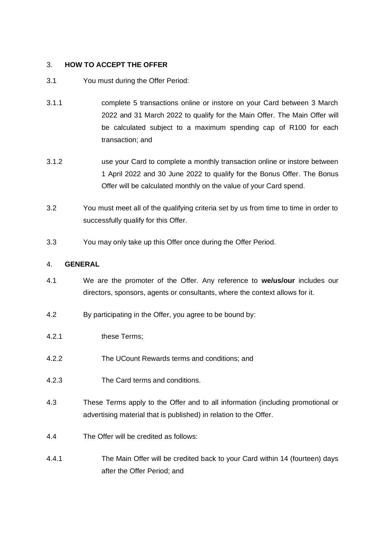### 3. **HOW TO ACCEPT THE OFFER**

- 3.1 You must during the Offer Period:
- 3.1.1 complete 5 transactions online or instore on your Card between 3 March 2022 and 31 March 2022 to qualify for the Main Offer. The Main Offer will be calculated subject to a maximum spending cap of R100 for each transaction; and
- 3.1.2 use your Card to complete a monthly transaction online or instore between 1 April 2022 and 30 June 2022 to qualify for the Bonus Offer. The Bonus Offer will be calculated monthly on the value of your Card spend.
- 3.2 You must meet all of the qualifying criteria set by us from time to time in order to successfully qualify for this Offer.
- 3.3 You may only take up this Offer once during the Offer Period.

## 4. **GENERAL**

- 4.1 We are the promoter of the Offer. Any reference to **we/us/our** includes our directors, sponsors, agents or consultants, where the context allows for it.
- 4.2 By participating in the Offer, you agree to be bound by:
- 4.2.1 these Terms;
- 4.2.2 The UCount Rewards terms and conditions; and
- 4.2.3 The Card terms and conditions.
- 4.3 These Terms apply to the Offer and to all information (including promotional or advertising material that is published) in relation to the Offer.
- 4.4 The Offer will be credited as follows:
- 4.4.1 The Main Offer will be credited back to your Card within 14 (fourteen) days after the Offer Period; and